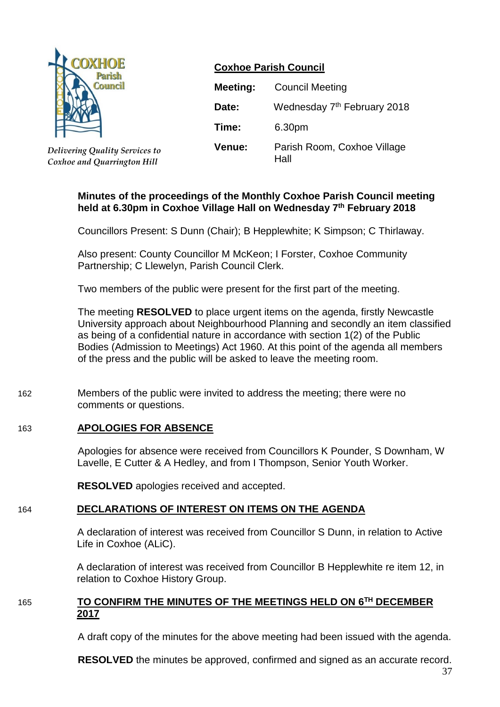

*Delivering Quality Services to Coxhoe and Quarrington Hill*

## **Coxhoe Parish Council**

| <b>Meeting:</b> | <b>Council Meeting</b>                  |  |  |  |
|-----------------|-----------------------------------------|--|--|--|
| Date:           | Wednesday 7 <sup>th</sup> February 2018 |  |  |  |
| Time:           | 6.30pm                                  |  |  |  |
| Venue:          | Parish Room, Coxhoe Village<br>Hall     |  |  |  |

### **Minutes of the proceedings of the Monthly Coxhoe Parish Council meeting held at 6.30pm in Coxhoe Village Hall on Wednesday 7 th February 2018**

Councillors Present: S Dunn (Chair); B Hepplewhite; K Simpson; C Thirlaway.

Also present: County Councillor M McKeon; I Forster, Coxhoe Community Partnership; C Llewelyn, Parish Council Clerk.

Two members of the public were present for the first part of the meeting.

The meeting **RESOLVED** to place urgent items on the agenda, firstly Newcastle University approach about Neighbourhood Planning and secondly an item classified as being of a confidential nature in accordance with section 1(2) of the Public Bodies (Admission to Meetings) Act 1960. At this point of the agenda all members of the press and the public will be asked to leave the meeting room.

162 Members of the public were invited to address the meeting; there were no comments or questions.

## 163 **APOLOGIES FOR ABSENCE**

Apologies for absence were received from Councillors K Pounder, S Downham, W Lavelle, E Cutter & A Hedley, and from I Thompson, Senior Youth Worker.

**RESOLVED** apologies received and accepted.

## 164 **DECLARATIONS OF INTEREST ON ITEMS ON THE AGENDA**

A declaration of interest was received from Councillor S Dunn, in relation to Active Life in Coxhoe (ALiC).

A declaration of interest was received from Councillor B Hepplewhite re item 12, in relation to Coxhoe History Group.

### 165 **TO CONFIRM THE MINUTES OF THE MEETINGS HELD ON 6 TH DECEMBER 2017**

A draft copy of the minutes for the above meeting had been issued with the agenda.

**RESOLVED** the minutes be approved, confirmed and signed as an accurate record.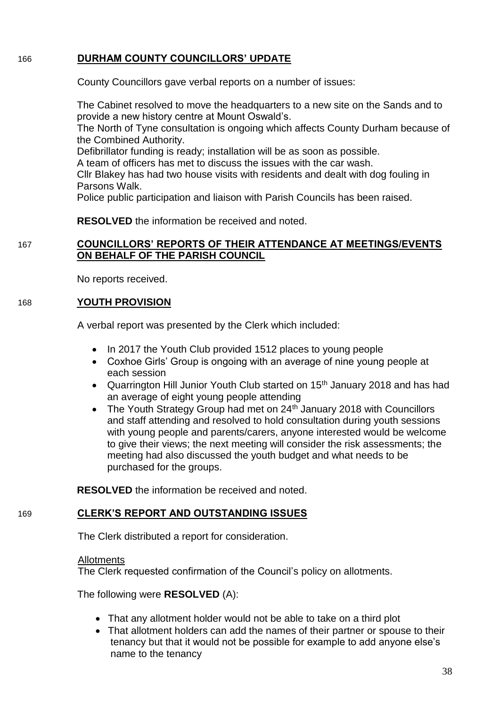## 166 **DURHAM COUNTY COUNCILLORS' UPDATE**

County Councillors gave verbal reports on a number of issues:

The Cabinet resolved to move the headquarters to a new site on the Sands and to provide a new history centre at Mount Oswald's.

The North of Tyne consultation is ongoing which affects County Durham because of the Combined Authority.

Defibrillator funding is ready; installation will be as soon as possible.

A team of officers has met to discuss the issues with the car wash.

Cllr Blakey has had two house visits with residents and dealt with dog fouling in Parsons Walk.

Police public participation and liaison with Parish Councils has been raised.

**RESOLVED** the information be received and noted.

## 167 **COUNCILLORS' REPORTS OF THEIR ATTENDANCE AT MEETINGS/EVENTS ON BEHALF OF THE PARISH COUNCIL**

No reports received.

### 168 **YOUTH PROVISION**

A verbal report was presented by the Clerk which included:

- In 2017 the Youth Club provided 1512 places to young people
- Coxhoe Girls' Group is ongoing with an average of nine young people at each session
- Quarrington Hill Junior Youth Club started on 15<sup>th</sup> January 2018 and has had an average of eight young people attending
- The Youth Strategy Group had met on 24<sup>th</sup> January 2018 with Councillors and staff attending and resolved to hold consultation during youth sessions with young people and parents/carers, anyone interested would be welcome to give their views; the next meeting will consider the risk assessments; the meeting had also discussed the youth budget and what needs to be purchased for the groups.

**RESOLVED** the information be received and noted.

## 169 **CLERK'S REPORT AND OUTSTANDING ISSUES**

The Clerk distributed a report for consideration.

## **Allotments**

The Clerk requested confirmation of the Council's policy on allotments.

The following were **RESOLVED** (A):

- That any allotment holder would not be able to take on a third plot
- That allotment holders can add the names of their partner or spouse to their tenancy but that it would not be possible for example to add anyone else's name to the tenancy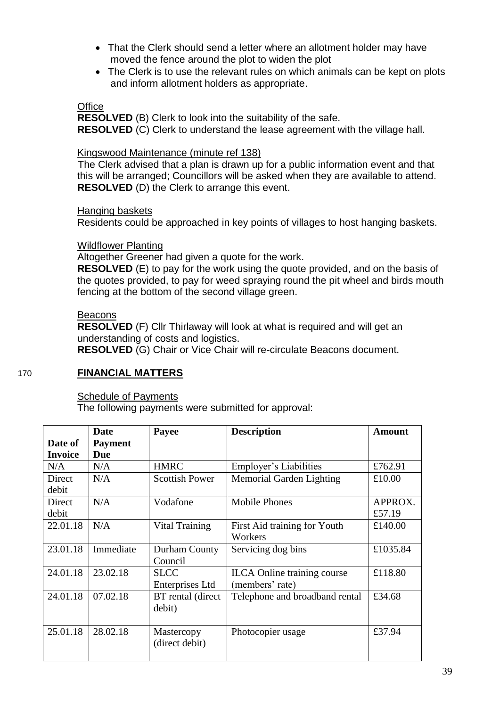- That the Clerk should send a letter where an allotment holder may have moved the fence around the plot to widen the plot
- The Clerk is to use the relevant rules on which animals can be kept on plots and inform allotment holders as appropriate.

#### **Office**

**RESOLVED** (B) Clerk to look into the suitability of the safe. **RESOLVED** (C) Clerk to understand the lease agreement with the village hall.

#### Kingswood Maintenance (minute ref 138)

The Clerk advised that a plan is drawn up for a public information event and that this will be arranged; Councillors will be asked when they are available to attend. **RESOLVED** (D) the Clerk to arrange this event.

#### Hanging baskets

Residents could be approached in key points of villages to host hanging baskets.

#### Wildflower Planting

Altogether Greener had given a quote for the work.

**RESOLVED** (E) to pay for the work using the quote provided, and on the basis of the quotes provided, to pay for weed spraying round the pit wheel and birds mouth fencing at the bottom of the second village green.

#### Beacons

**RESOLVED** (F) Cllr Thirlaway will look at what is required and will get an understanding of costs and logistics.

**RESOLVED** (G) Chair or Vice Chair will re-circulate Beacons document.

### 170 **FINANCIAL MATTERS**

### **Schedule of Payments**

The following payments were submitted for approval:

| Date of<br><b>Invoice</b> | Date<br><b>Payment</b><br><b>Due</b> | <b>Description</b><br>Payee           |                                                       | Amount            |
|---------------------------|--------------------------------------|---------------------------------------|-------------------------------------------------------|-------------------|
| N/A                       | N/A                                  | <b>HMRC</b><br>Employer's Liabilities |                                                       | £762.91           |
| Direct<br>debit           | N/A                                  | <b>Scottish Power</b>                 | Memorial Garden Lighting                              | £10.00            |
| Direct<br>debit           | N/A                                  | Vodafone                              | <b>Mobile Phones</b>                                  | APPROX.<br>£57.19 |
| 22.01.18                  | N/A                                  | <b>Vital Training</b>                 | First Aid training for Youth<br>Workers               | £140.00           |
| 23.01.18                  | Immediate                            | Durham County<br>Council              | Servicing dog bins                                    | £1035.84          |
| 24.01.18                  | 23.02.18                             | <b>SLCC</b><br>Enterprises Ltd        | <b>ILCA</b> Online training course<br>(members' rate) | £118.80           |
| 24.01.18                  | 07.02.18                             | BT rental (direct)<br>debit)          | Telephone and broadband rental                        | £34.68            |
| 25.01.18                  | 28.02.18                             | Mastercopy<br>(direct debit)          | Photocopier usage                                     | £37.94            |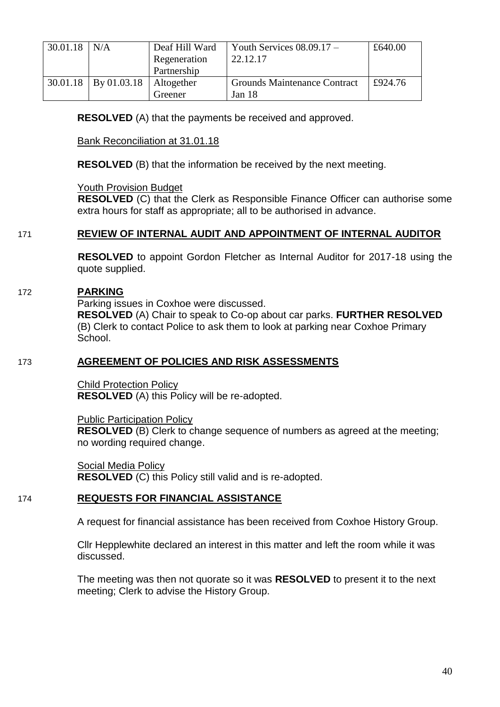| 30.01.18 | N/A                    | Deaf Hill Ward<br>Regeneration | Youth Services $08.09.17 -$<br>22.12.17 | £640.00 |  |
|----------|------------------------|--------------------------------|-----------------------------------------|---------|--|
|          |                        | Partnership                    |                                         |         |  |
|          | $30.01.18$ By 01.03.18 | Altogether                     | Grounds Maintenance Contract            | £924.76 |  |
|          |                        | Greener                        | Jan 18                                  |         |  |

**RESOLVED** (A) that the payments be received and approved.

Bank Reconciliation at 31.01.18

**RESOLVED** (B) that the information be received by the next meeting.

Youth Provision Budget

**RESOLVED** (C) that the Clerk as Responsible Finance Officer can authorise some extra hours for staff as appropriate; all to be authorised in advance.

#### 171 **REVIEW OF INTERNAL AUDIT AND APPOINTMENT OF INTERNAL AUDITOR**

**RESOLVED** to appoint Gordon Fletcher as Internal Auditor for 2017-18 using the quote supplied.

#### 172 **PARKING**

Parking issues in Coxhoe were discussed.

**RESOLVED** (A) Chair to speak to Co-op about car parks. **FURTHER RESOLVED**  (B) Clerk to contact Police to ask them to look at parking near Coxhoe Primary School.

### 173 **AGREEMENT OF POLICIES AND RISK ASSESSMENTS**

Child Protection Policy **RESOLVED** (A) this Policy will be re-adopted.

Public Participation Policy **RESOLVED** (B) Clerk to change sequence of numbers as agreed at the meeting; no wording required change.

Social Media Policy **RESOLVED** (C) this Policy still valid and is re-adopted.

#### 174 **REQUESTS FOR FINANCIAL ASSISTANCE**

A request for financial assistance has been received from Coxhoe History Group.

Cllr Hepplewhite declared an interest in this matter and left the room while it was discussed.

The meeting was then not quorate so it was **RESOLVED** to present it to the next meeting; Clerk to advise the History Group.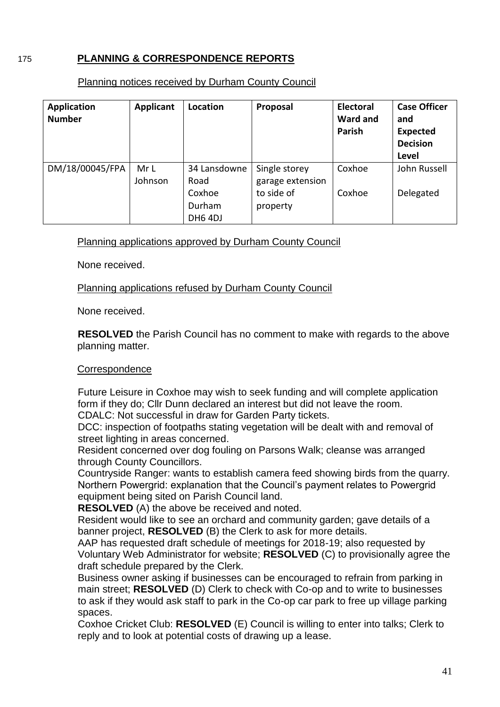# 175 **PLANNING & CORRESPONDENCE REPORTS**

#### Planning notices received by Durham County Council

| Application<br><b>Number</b> | <b>Applicant</b> | Location     | Proposal         | <b>Electoral</b><br><b>Ward and</b><br>Parish | <b>Case Officer</b><br>and<br><b>Expected</b><br><b>Decision</b><br>Level |
|------------------------------|------------------|--------------|------------------|-----------------------------------------------|---------------------------------------------------------------------------|
| DM/18/00045/FPA              | Mr L             | 34 Lansdowne | Single storey    | Coxhoe                                        | John Russell                                                              |
|                              | Johnson          | Road         | garage extension |                                               |                                                                           |
|                              |                  | Coxhoe       | to side of       | Coxhoe                                        | Delegated                                                                 |
|                              |                  | Durham       | property         |                                               |                                                                           |
|                              |                  | DH6 4DJ      |                  |                                               |                                                                           |

Planning applications approved by Durham County Council

None received.

Planning applications refused by Durham County Council

None received.

**RESOLVED** the Parish Council has no comment to make with regards to the above planning matter.

### **Correspondence**

Future Leisure in Coxhoe may wish to seek funding and will complete application form if they do; Cllr Dunn declared an interest but did not leave the room.

CDALC: Not successful in draw for Garden Party tickets.

DCC: inspection of footpaths stating vegetation will be dealt with and removal of street lighting in areas concerned.

Resident concerned over dog fouling on Parsons Walk; cleanse was arranged through County Councillors.

Countryside Ranger: wants to establish camera feed showing birds from the quarry. Northern Powergrid: explanation that the Council's payment relates to Powergrid equipment being sited on Parish Council land.

**RESOLVED** (A) the above be received and noted.

Resident would like to see an orchard and community garden; gave details of a banner project, **RESOLVED** (B) the Clerk to ask for more details.

AAP has requested draft schedule of meetings for 2018-19; also requested by Voluntary Web Administrator for website; **RESOLVED** (C) to provisionally agree the draft schedule prepared by the Clerk.

Business owner asking if businesses can be encouraged to refrain from parking in main street; **RESOLVED** (D) Clerk to check with Co-op and to write to businesses to ask if they would ask staff to park in the Co-op car park to free up village parking spaces.

Coxhoe Cricket Club: **RESOLVED** (E) Council is willing to enter into talks; Clerk to reply and to look at potential costs of drawing up a lease.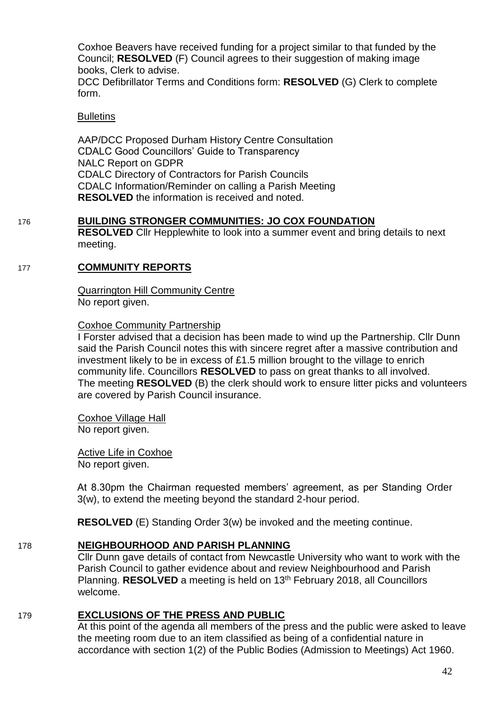Coxhoe Beavers have received funding for a project similar to that funded by the Council; **RESOLVED** (F) Council agrees to their suggestion of making image books, Clerk to advise.

DCC Defibrillator Terms and Conditions form: **RESOLVED** (G) Clerk to complete form.

#### **Bulletins**

AAP/DCC Proposed Durham History Centre Consultation CDALC Good Councillors' Guide to Transparency NALC Report on GDPR CDALC Directory of Contractors for Parish Councils CDALC Information/Reminder on calling a Parish Meeting **RESOLVED** the information is received and noted.

## 176 **BUILDING STRONGER COMMUNITIES: JO COX FOUNDATION**

**RESOLVED** Cllr Hepplewhite to look into a summer event and bring details to next meeting.

### 177 **COMMUNITY REPORTS**

Quarrington Hill Community Centre No report given.

#### Coxhoe Community Partnership

I Forster advised that a decision has been made to wind up the Partnership. Cllr Dunn said the Parish Council notes this with sincere regret after a massive contribution and investment likely to be in excess of £1.5 million brought to the village to enrich community life. Councillors **RESOLVED** to pass on great thanks to all involved. The meeting **RESOLVED** (B) the clerk should work to ensure litter picks and volunteers are covered by Parish Council insurance.

Coxhoe Village Hall No report given.

Active Life in Coxhoe No report given.

At 8.30pm the Chairman requested members' agreement, as per Standing Order 3(w), to extend the meeting beyond the standard 2-hour period.

**RESOLVED** (E) Standing Order 3(w) be invoked and the meeting continue.

## 178 **NEIGHBOURHOOD AND PARISH PLANNING**

Cllr Dunn gave details of contact from Newcastle University who want to work with the Parish Council to gather evidence about and review Neighbourhood and Parish Planning. **RESOLVED** a meeting is held on 13th February 2018, all Councillors welcome.

# 179 **EXCLUSIONS OF THE PRESS AND PUBLIC**

At this point of the agenda all members of the press and the public were asked to leave the meeting room due to an item classified as being of a confidential nature in accordance with section 1(2) of the Public Bodies (Admission to Meetings) Act 1960.